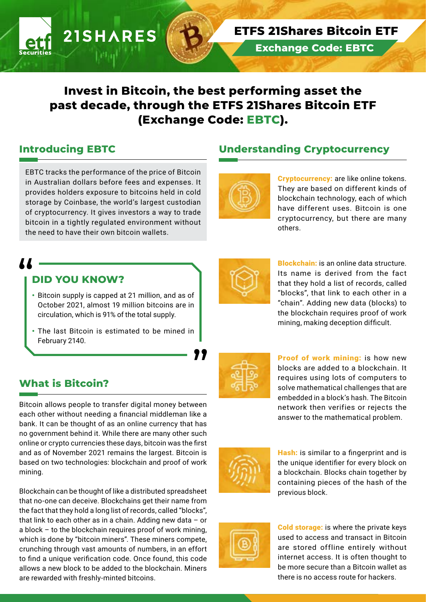# **Invest in Bitcoin, the best performing asset the past decade, through the ETFS 21Shares Bitcoin ETF (Exchange Code: EBTC).**

## **Introducing EBTC**

EBTC tracks the performance of the price of Bitcoin in Australian dollars before fees and expenses. It provides holders exposure to bitcoins held in cold storage by Coinbase, the world's largest custodian of cryptocurrency. It gives investors a way to trade bitcoin in a tightly regulated environment without the need to have their own bitcoin wallets.

**21SHARES** 

## **Understanding Cryptocurrency**

**Exchange Code: EBTC**

**ETFS 21Shares Bitcoin ETF** 



**Cryptocurrency:** are like online tokens. They are based on different kinds of blockchain technology, each of which have different uses. Bitcoin is one cryptocurrency, but there are many others.

## **DID YOU KNOW?**

- Bitcoin supply is capped at 21 million, and as of October 2021, almost 19 million bitcoins are in circulation, which is 91% of the total supply.
- The last Bitcoin is estimated to be mined in February 2140.

## **What is Bitcoin?**

Bitcoin allows people to transfer digital money between each other without needing a financial middleman like a bank. It can be thought of as an online currency that has no government behind it. While there are many other such online or crypto currencies these days, bitcoin was the first and as of November 2021 remains the largest. Bitcoin is based on two technologies: blockchain and proof of work mining.

Blockchain can be thought of like a distributed spreadsheet that no-one can deceive. Blockchains get their name from the fact that they hold a long list of records, called "blocks", that link to each other as in a chain. Adding new data – or a block – to the blockchain requires proof of work mining, which is done by "bitcoin miners". These miners compete, crunching through vast amounts of numbers, in an effort to find a unique verification code. Once found, this code allows a new block to be added to the blockchain. Miners are rewarded with freshly-minted bitcoins.



Blockchain: is an online data structure. Its name is derived from the fact that they hold a list of records, called "blocks", that link to each other in a "chain". Adding new data (blocks) to the blockchain requires proof of work mining, making deception difficult.

Proof of work mining: is how new blocks are added to a blockchain. It requires using lots of computers to solve mathematical challenges that are embedded in a block's hash. The Bitcoin network then verifies or rejects the answer to the mathematical problem.



Hash: is similar to a fingerprint and is the unique identifier for every block on a blockchain. Blocks chain together by containing pieces of the hash of the previous block.



Cold storage: is where the private keys used to access and transact in Bitcoin are stored offline entirely without internet access. It is often thought to be more secure than a Bitcoin wallet as there is no access route for hackers.